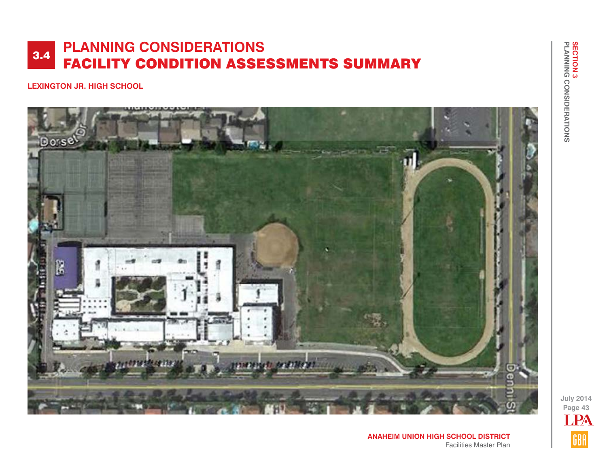**LEXINGTON JR. HIGH SCHOOL**



**July 2014 Page 43** LPAGBA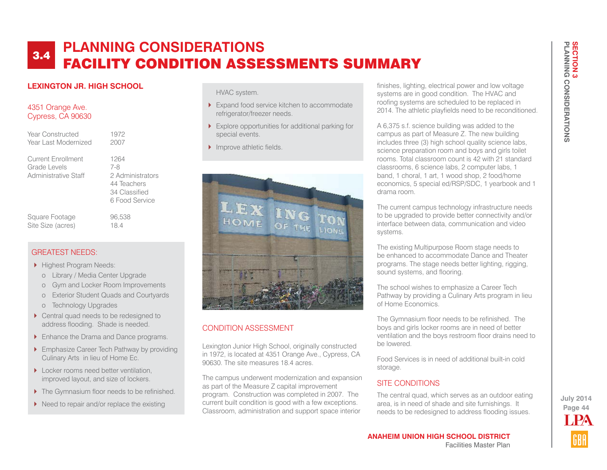### **LEXINGTON JR. HIGH SCHOOL**

#### 4351 Orange Ave. Cypress, CA 90630

Year Constructed 1972 Year Last Modernized 2007

Current Enrollment 1264 Grade Levels 7-8 Administrative Staff 2 Administrators

 44 Teachers 34 Classified 6 Food Service

#### Square Footage 96,538 Site Size (acres) 18.4

### GREATEST NEEDS:

- Highest Program Needs:
	- o Library / Media Center Upgrade
	- o Gym and Locker Room Improvements
	- o Exterior Student Quads and Courtyards
	- o Technology Upgrades
- ▶ Central quad needs to be redesigned to address flooding. Shade is needed.
- **Enhance the Drama and Dance programs.**
- **Emphasize Career Tech Pathway by providing** Culinary Arts in lieu of Home Ec.
- Locker rooms need better ventilation, improved layout, and size of lockers.
- ▶ The Gymnasium floor needs to be refinished.
- $\blacktriangleright$  Need to repair and/or replace the existing

HVAC system.

- Expand food service kitchen to accommodate refrigerator/freezer needs.
- Explore opportunities for additional parking for special events.
- Improve athletic fields.



## CONDITION ASSESSMENT

Lexington Junior High School, originally constructed in 1972, is located at 4351 Orange Ave., Cypress, CA 90630. The site measures 18.4 acres.

The campus underwent modernization and expansion as part of the Measure Z capital improvement program. Construction was completed in 2007. The current built condition is good with a few exceptions. Classroom, administration and support space interior

finishes, lighting, electrical power and low voltage systems are in good condition. The HVAC and roofing systems are scheduled to be replaced in 2014. The athletic playfields need to be reconditioned.

A 6,375 s.f. science building was added to the campus as part of Measure Z. The new building includes three (3) high school quality science labs, science preparation room and boys and girls toilet rooms. Total classroom count is 42 with 21 standard classrooms, 6 science labs, 2 computer labs, 1 band, 1 choral, 1 art, 1 wood shop, 2 food/home economics, 5 special ed/RSP/SDC, 1 yearbook and 1 drama room.

The current campus technology infrastructure needs to be upgraded to provide better connectivity and/or interface between data, communication and video systems.

The existing Multipurpose Room stage needs to be enhanced to accommodate Dance and Theater programs. The stage needs better lighting, rigging, sound systems, and flooring.

The school wishes to emphasize a Career Tech Pathway by providing a Culinary Arts program in lieu of Home Economics.

The Gymnasium floor needs to be refinished. The boys and girls locker rooms are in need of better ventilation and the boys restroom floor drains need to be lowered.

Food Services is in need of additional built-in cold storage.

## SITE CONDITIONS

The central quad, which serves as an outdoor eating area, is in need of shade and site furnishings. It needs to be redesigned to address flooding issues.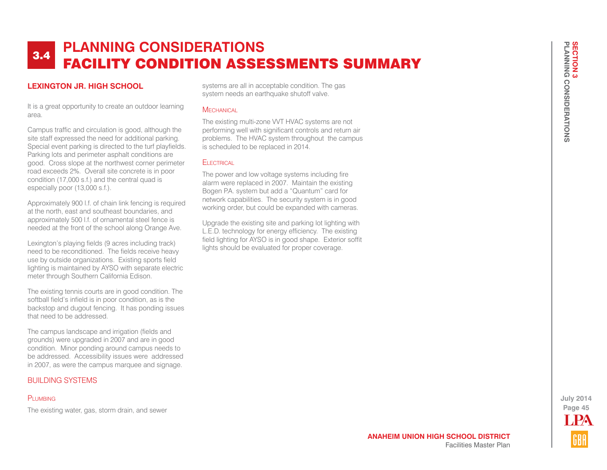### **LEXINGTON JR. HIGH SCHOOL**

It is a great opportunity to create an outdoor learning area.

Campus traffic and circulation is good, although the site staff expressed the need for additional parking. Special event parking is directed to the turf playfields. Parking lots and perimeter asphalt conditions are good. Cross slope at the northwest corner perimeter road exceeds 2%. Overall site concrete is in poor condition (17,000 s.f.) and the central quad is especially poor (13,000 s.f.).

Approximately 900 l.f. of chain link fencing is required at the north, east and southeast boundaries, and approximately 500 l.f. of ornamental steel fence is needed at the front of the school along Orange Ave.

Lexington's playing fields (9 acres including track) need to be reconditioned. The fields receive heavy use by outside organizations. Existing sports field lighting is maintained by AYSO with separate electric meter through Southern California Edison.

The existing tennis courts are in good condition. The softball field's infield is in poor condition, as is the backstop and dugout fencing. It has ponding issues that need to be addressed.

The campus landscape and irrigation (fields and grounds) were upgraded in 2007 and are in good condition. Minor ponding around campus needs to be addressed. Accessibility issues were addressed in 2007, as were the campus marquee and signage.

#### BUILDING SYSTEMS

#### PLUMBING

The existing water, gas, storm drain, and sewer

systems are all in acceptable condition. The gas system needs an earthquake shutoff valve.

#### **MECHANICAL**

The existing multi-zone VVT HVAC systems are not performing well with significant controls and return air problems. The HVAC system throughout the campus is scheduled to be replaced in 2014.

#### **FI FCTRICAL**

The power and low voltage systems including fire alarm were replaced in 2007. Maintain the existing Bogen P.A. system but add a "Quantum" card for network capabilities. The security system is in good working order, but could be expanded with cameras.

Upgrade the existing site and parking lot lighting with L.E.D. technology for energy efficiency. The existing field lighting for AYSO is in good shape. Exterior soffit lights should be evaluated for proper coverage.

> **Page 45 July 2014** LPA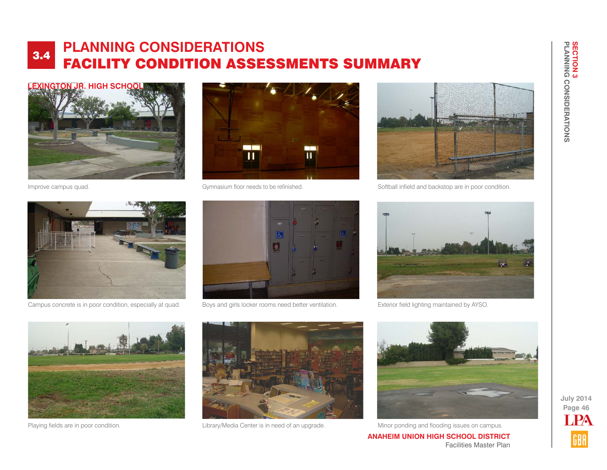



Campus concrete is in poor condition, especially at quad. Boys and girls locker rooms need better ventilation.



区 壺

Improve campus quad. Gymnasium floor needs to be refinished.



Softball infield and backstop are in poor condition.



Exterior field lighting maintained by AYSO.





Playing fields are in poor condition. The state of a contert is in need of an upgrade. Minor ponding and flooding issues on campus.



Facilities Master Plan

**ANAHEIM UNION HIGH SCHOOL DISTRICT**

**Page 46** LPA

**July 2014**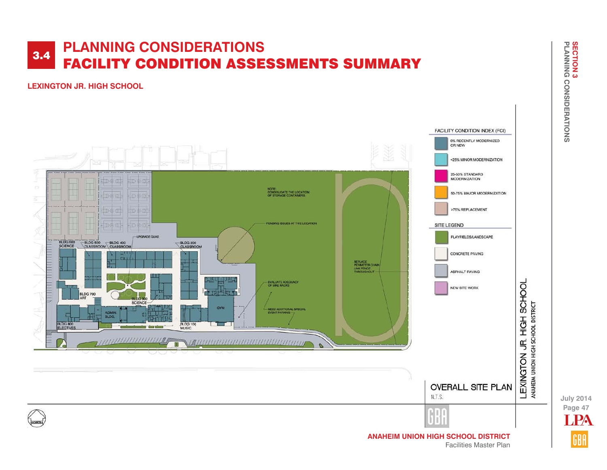### **LEXINGTON JR. HIGH SCHOOL**



Facilities Master Plan

**Page 47 July 2014** LPA